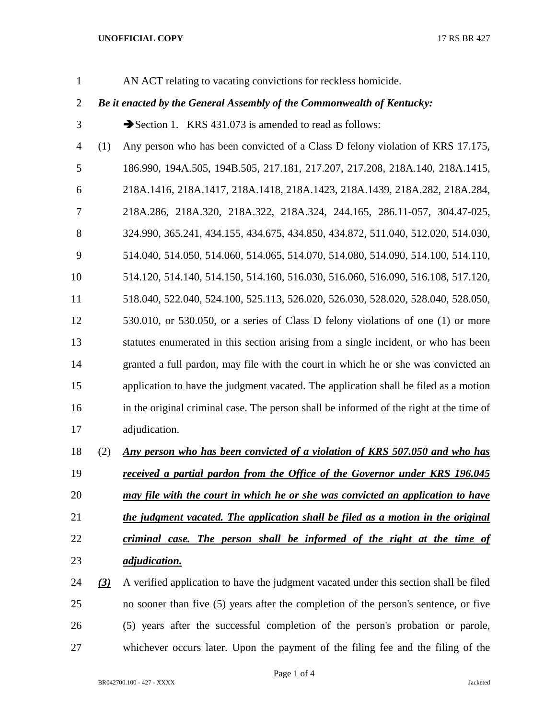## **UNOFFICIAL COPY** 17 RS BR 427

AN ACT relating to vacating convictions for reckless homicide.

## *Be it enacted by the General Assembly of the Commonwealth of Kentucky:*

- 3 Section 1. KRS 431.073 is amended to read as follows:
- (1) Any person who has been convicted of a Class D felony violation of KRS 17.175, 186.990, 194A.505, 194B.505, 217.181, 217.207, 217.208, 218A.140, 218A.1415, 218A.1416, 218A.1417, 218A.1418, 218A.1423, 218A.1439, 218A.282, 218A.284, 218A.286, 218A.320, 218A.322, 218A.324, 244.165, 286.11-057, 304.47-025, 324.990, 365.241, 434.155, 434.675, 434.850, 434.872, 511.040, 512.020, 514.030, 514.040, 514.050, 514.060, 514.065, 514.070, 514.080, 514.090, 514.100, 514.110, 514.120, 514.140, 514.150, 514.160, 516.030, 516.060, 516.090, 516.108, 517.120, 518.040, 522.040, 524.100, 525.113, 526.020, 526.030, 528.020, 528.040, 528.050, 530.010, or 530.050, or a series of Class D felony violations of one (1) or more statutes enumerated in this section arising from a single incident, or who has been granted a full pardon, may file with the court in which he or she was convicted an application to have the judgment vacated. The application shall be filed as a motion in the original criminal case. The person shall be informed of the right at the time of adjudication.
- (2) *Any person who has been convicted of a violation of KRS 507.050 and who has received a partial pardon from the Office of the Governor under KRS 196.045 may file with the court in which he or she was convicted an application to have the judgment vacated. The application shall be filed as a motion in the original criminal case. The person shall be informed of the right at the time of*
- *adjudication.*

 *(3)* A verified application to have the judgment vacated under this section shall be filed no sooner than five (5) years after the completion of the person's sentence, or five (5) years after the successful completion of the person's probation or parole, whichever occurs later. Upon the payment of the filing fee and the filing of the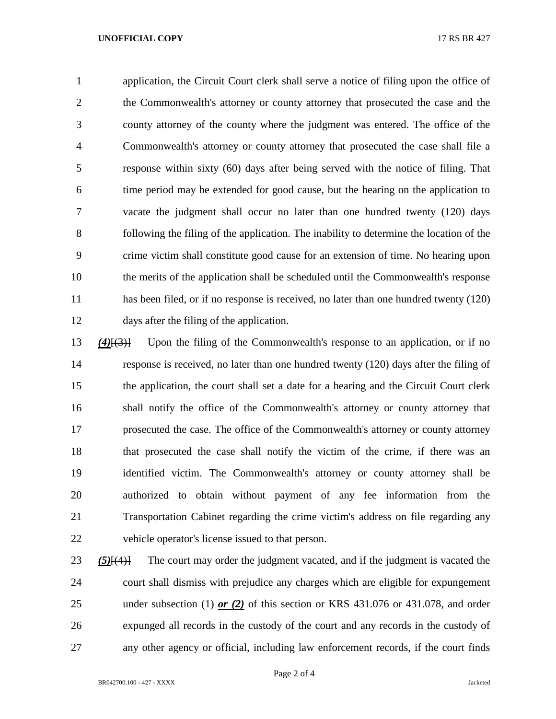## **UNOFFICIAL COPY** 17 RS BR 427

 application, the Circuit Court clerk shall serve a notice of filing upon the office of 2 the Commonwealth's attorney or county attorney that prosecuted the case and the county attorney of the county where the judgment was entered. The office of the Commonwealth's attorney or county attorney that prosecuted the case shall file a response within sixty (60) days after being served with the notice of filing. That time period may be extended for good cause, but the hearing on the application to vacate the judgment shall occur no later than one hundred twenty (120) days following the filing of the application. The inability to determine the location of the crime victim shall constitute good cause for an extension of time. No hearing upon the merits of the application shall be scheduled until the Commonwealth's response has been filed, or if no response is received, no later than one hundred twenty (120) days after the filing of the application.

 *(4)*[(3)] Upon the filing of the Commonwealth's response to an application, or if no response is received, no later than one hundred twenty (120) days after the filing of the application, the court shall set a date for a hearing and the Circuit Court clerk shall notify the office of the Commonwealth's attorney or county attorney that prosecuted the case. The office of the Commonwealth's attorney or county attorney that prosecuted the case shall notify the victim of the crime, if there was an identified victim. The Commonwealth's attorney or county attorney shall be authorized to obtain without payment of any fee information from the Transportation Cabinet regarding the crime victim's address on file regarding any vehicle operator's license issued to that person.

 *(5)*[(4)] The court may order the judgment vacated, and if the judgment is vacated the court shall dismiss with prejudice any charges which are eligible for expungement under subsection (1) *or (2)* of this section or KRS 431.076 or 431.078, and order expunged all records in the custody of the court and any records in the custody of any other agency or official, including law enforcement records, if the court finds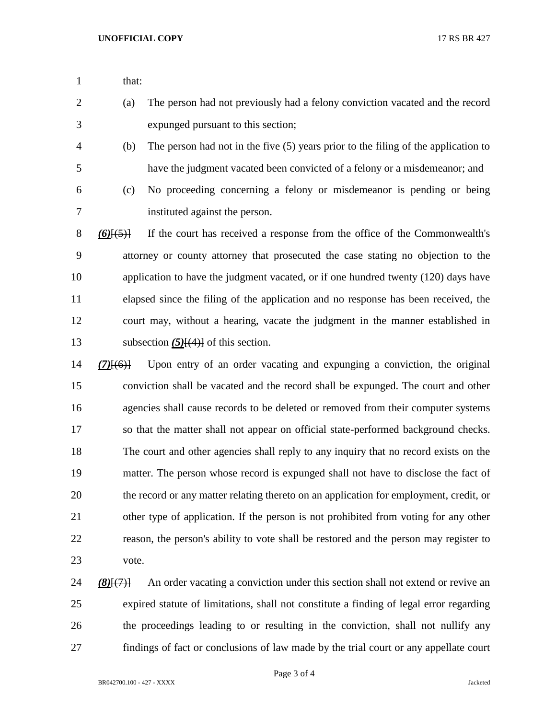- 1 that:
- (a) The person had not previously had a felony conviction vacated and the record expunged pursuant to this section;
- (b) The person had not in the five (5) years prior to the filing of the application to have the judgment vacated been convicted of a felony or a misdemeanor; and
- 

 (c) No proceeding concerning a felony or misdemeanor is pending or being instituted against the person.

 *(6)*[(5)] If the court has received a response from the office of the Commonwealth's attorney or county attorney that prosecuted the case stating no objection to the application to have the judgment vacated, or if one hundred twenty (120) days have elapsed since the filing of the application and no response has been received, the court may, without a hearing, vacate the judgment in the manner established in 13 subsection (5)<del>[(4)]</del> of this section.

 *(7)*[(6)] Upon entry of an order vacating and expunging a conviction, the original conviction shall be vacated and the record shall be expunged. The court and other agencies shall cause records to be deleted or removed from their computer systems so that the matter shall not appear on official state-performed background checks. The court and other agencies shall reply to any inquiry that no record exists on the matter. The person whose record is expunged shall not have to disclose the fact of the record or any matter relating thereto on an application for employment, credit, or other type of application. If the person is not prohibited from voting for any other reason, the person's ability to vote shall be restored and the person may register to vote.

 *(8)*[(7)] An order vacating a conviction under this section shall not extend or revive an expired statute of limitations, shall not constitute a finding of legal error regarding the proceedings leading to or resulting in the conviction, shall not nullify any findings of fact or conclusions of law made by the trial court or any appellate court